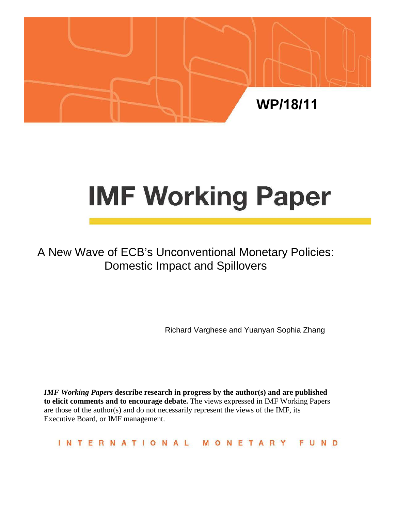

# **IMF Working Paper**

A New Wave of ECB's Unconventional Monetary Policies: Domestic Impact and Spillovers

Richard Varghese and Yuanyan Sophia Zhang

*IMF Working Papers* **describe research in progress by the author(s) and are published to elicit comments and to encourage debate.** The views expressed in IMF Working Papers are those of the author(s) and do not necessarily represent the views of the IMF, its Executive Board, or IMF management.

**INTERNATIONAL** FUND MONETARY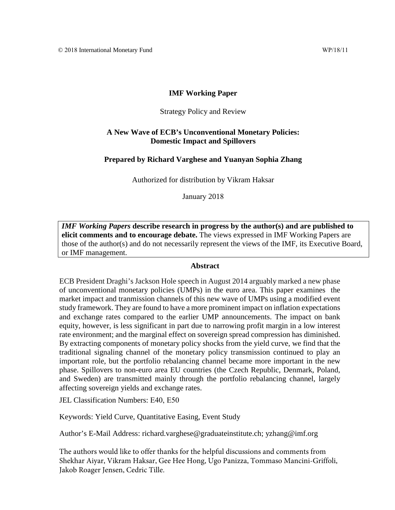## **IMF Working Paper**

#### Strategy Policy and Review

### **A New Wave of ECB's Unconventional Monetary Policies: Domestic Impact and Spillovers**

#### **Prepared by Richard Varghese and Yuanyan Sophia Zhang**

Authorized for distribution by Vikram Haksar

January 2018

*IMF Working Papers* **describe research in progress by the author(s) and are published to elicit comments and to encourage debate.** The views expressed in IMF Working Papers are those of the author(s) and do not necessarily represent the views of the IMF, its Executive Board, or IMF management.

#### **Abstract**

<span id="page-1-0"></span>ECB President Draghi's Jackson Hole speech in August 2014 arguably marked a new phase of unconventional monetary policies (UMPs) in the euro area. This paper examines the market impact and tranmission channels of this new wave of UMPs using a modified event study framework. They are found to have a more prominent impact on inflation expectations and exchange rates compared to the earlier UMP announcements. The impact on bank equity, however, is less significant in part due to narrowing profit margin in a low interest rate environment; and the marginal effect on sovereign spread compression has diminished. By extracting components of monetary policy shocks from the yield curve, we find that the traditional signaling channel of the monetary policy transmission continued to play an important role, but the portfolio rebalancing channel became more important in the new phase. Spillovers to non-euro area EU countries (the Czech Republic, Denmark, Poland, and Sweden) are transmitted mainly through the portfolio rebalancing channel, largely affecting sovereign yields and exchange rates.

JEL Classification Numbers: E40, E50

Keywords: Yield Curve, Quantitative Easing, Event Study

Author's E-Mail Address: richard.varghese@graduateinstitute.ch; yzhang@imf.org

The authors would like to offer thanks for the helpful discussions and comments from Shekhar Aiyar, Vikram Haksar, Gee Hee Hong, Ugo Panizza, Tommaso Mancini-Griffoli, Jakob Roager Jensen, Cedric Tille.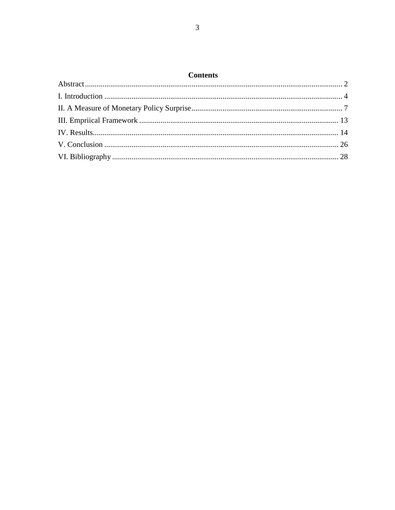## $\mathbf{C}$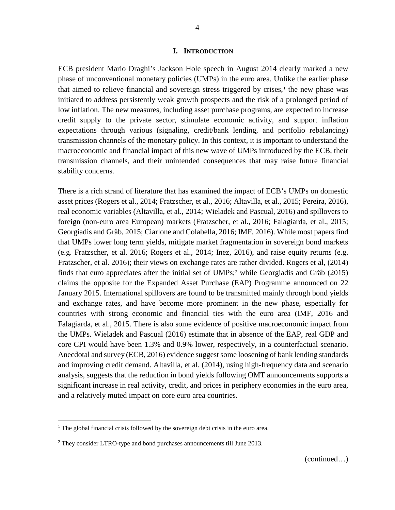#### **I. INTRODUCTION**

<span id="page-3-0"></span>ECB president Mario Draghi's Jackson Hole speech in August 2014 clearly marked a new phase of unconventional monetary policies (UMPs) in the euro area. Unlike the earlier phase that aimed to relieve financial and sovereign stress triggered by crises, $\frac{1}{1}$  $\frac{1}{1}$  $\frac{1}{1}$  the new phase was initiated to address persistently weak growth prospects and the risk of a prolonged period of low inflation. The new measures, including asset purchase programs, are expected to increase credit supply to the private sector, stimulate economic activity, and support inflation expectations through various (signaling, credit/bank lending, and portfolio rebalancing) transmission channels of the monetary policy. In this context, it is important to understand the macroeconomic and financial impact of this new wave of UMPs introduced by the ECB, their transmission channels, and their unintended consequences that may raise future financial stability concerns.

There is a rich strand of literature that has examined the impact of ECB's UMPs on domestic asset prices (Rogers et al., 2014; Fratzscher, et al., 2016; Altavilla, et al., 2015; Pereira, 2016), real economic variables (Altavilla, et al., 2014; Wieladek and Pascual, 2016) and spillovers to foreign (non-euro area European) markets (Fratzscher, et al., 2016; Falagiarda, et al., 2015; Georgiadis and Gräb, 2015; Ciarlone and Colabella, 2016; IMF, 2016). While most papers find that UMPs lower long term yields, mitigate market fragmentation in sovereign bond markets (e.g. Fratzscher, et al. 2016; Rogers et al., 2014; Inez, 2016), and raise equity returns (e.g. Fratzscher, et al. 2016); their views on exchange rates are rather divided. Rogers et al, (2014) finds that euro appreciates after the initial set of UMPs;<sup>[2](#page-3-2)</sup> while Georgiadis and Gräb (2015) claims the opposite for the Expanded Asset Purchase (EAP) Programme announced on 22 January 2015. International spillovers are found to be transmitted mainly through bond yields and exchange rates, and have become more prominent in the new phase, especially for countries with strong economic and financial ties with the euro area (IMF, 2016 and Falagiarda, et al., 2015. There is also some evidence of positive macroeconomic impact from the UMPs. Wieladek and Pascual (2016) estimate that in absence of the EAP, real GDP and core CPI would have been 1.3% and 0.9% lower, respectively, in a counterfactual scenario. Anecdotal and survey (ECB, 2016) evidence suggest some loosening of bank lending standards and improving credit demand. Altavilla, et al. (2014), using high-frequency data and scenario analysis, suggests that the reduction in bond yields following OMT announcements supports a significant increase in real activity, credit, and prices in periphery economies in the euro area, and a relatively muted impact on core euro area countries.

<span id="page-3-1"></span><sup>&</sup>lt;sup>1</sup> The global financial crisis followed by the sovereign debt crisis in the euro area.

<span id="page-3-2"></span> $2$  They consider LTRO-type and bond purchases announcements till June 2013.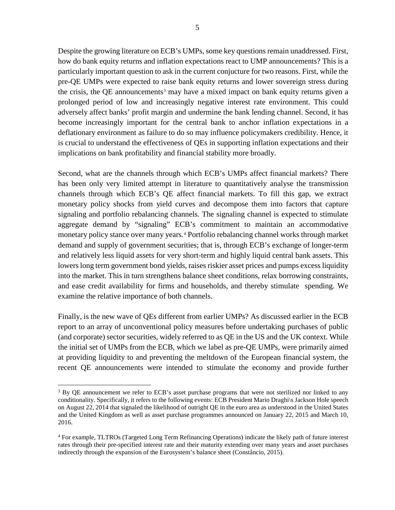Despite the growing literature on ECB's UMPs, some key questions remain unaddressed. First, how do bank equity returns and inflation expectations react to UMP announcements? This is a particularly important question to ask in the current conjucture for two reasons. First, while the pre-QE UMPs were expected to raise bank equity returns and lower sovereign stress during the crisis, the QE announcements<sup>[3](#page-4-0)</sup> may have a mixed impact on bank equity returns given a prolonged period of low and increasingly negative interest rate environment. This could adversely affect banks' profit margin and undermine the bank lending channel. Second, it has become increasingly important for the central bank to anchor inflation expectations in a deflationary environment as failure to do so may influence policymakers credibility. Hence, it is crucial to understand the effectiveness of QEs in supporting inflation expectations and their implications on bank profitability and financial stability more broadly.

Second, what are the channels through which ECB's UMPs affect financial markets? There has been only very limited attempt in literature to quantitatively analyse the transmission channels through which ECB's QE affect financial markets. To fill this gap, we extract monetary policy shocks from yield curves and decompose them into factors that capture signaling and portfolio rebalancing channels. The signaling channel is expected to stimulate aggregate demand by "signaling" ECB's commitment to maintain an accommodative monetary policy stance over many years.<sup>[4](#page-4-1)</sup> Portfolio rebalancing channel works through market demand and supply of government securities; that is, through ECB's exchange of longer-term and relatively less liquid assets for very short-term and highly liquid central bank assets. This lowers long term government bond yields, raises riskier asset prices and pumps excess liquidity into the market. This in turn strengthens balance sheet conditions, relax borrowing constraints, and ease credit availability for firms and households, and thereby stimulate spending. We examine the relative importance of both channels.

Finally, is the new wave of QEs different from earlier UMPs? As discussed earlier in the ECB report to an array of unconventional policy measures before undertaking purchases of public (and corporate) sector securities, widely referred to as QE in the US and the UK context. While the initial set of UMPs from the ECB, which we label as pre-QE UMPs, were primarily aimed at providing liquidity to and preventing the meltdown of the European financial system, the recent QE announcements were intended to stimulate the economy and provide further

<span id="page-4-0"></span> $3$  By QE announcement we refer to ECB's asset purchase programs that were not sterilized nor linked to any conditionality. Specifically, it refers to the following events: ECB President Mario Draghi\s Jackson Hole speech on August 22, 2014 that signaled the likelihood of outright QE in the euro area as understood in the United States and the United Kingdom as well as asset purchase programmes announced on January 22, 2015 and March 10, 2016.

<span id="page-4-1"></span><sup>4</sup> For example, TLTROs (Targeted Long Term Refinancing Operations) indicate the likely path of future interest rates through their pre-specified interest rate and their maturity extending over many years and asset purchases indirectly through the expansion of the Eurosystem's balance sheet (Constâncio, 2015).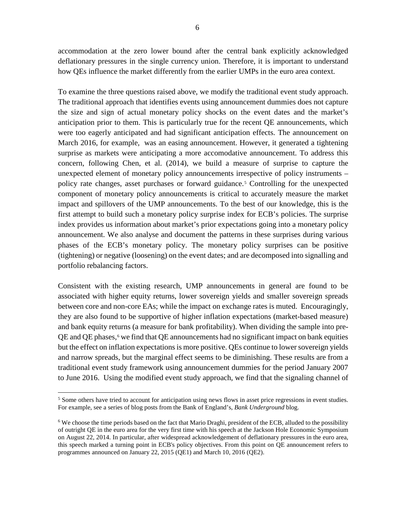accommodation at the zero lower bound after the central bank explicitly acknowledged deflationary pressures in the single currency union. Therefore, it is important to understand how QEs influence the market differently from the earlier UMPs in the euro area context.

To examine the three questions raised above, we modify the traditional event study approach. The traditional approach that identifies events using announcement dummies does not capture the size and sign of actual monetary policy shocks on the event dates and the market's anticipation prior to them. This is particularly true for the recent QE announcements, which were too eagerly anticipated and had significant anticipation effects. The announcement on March 2016, for example, was an easing announcement. However, it generated a tightening surprise as markets were anticipating a more accomodative announcement. To address this concern, following Chen, et al. (2014), we build a measure of surprise to capture the unexpected element of monetary policy announcements irrespective of policy instruments – policy rate changes, asset purchases or forward guidance.<sup>[5](#page-5-0)</sup> Controlling for the unexpected component of monetary policy announcements is critical to accurately measure the market impact and spillovers of the UMP announcements. To the best of our knowledge, this is the first attempt to build such a monetary policy surprise index for ECB's policies. The surprise index provides us information about market's prior expectations going into a monetary policy announcement. We also analyse and document the patterns in these surprises during various phases of the ECB's monetary policy. The monetary policy surprises can be positive (tightening) or negative (loosening) on the event dates; and are decomposed into signalling and portfolio rebalancing factors.

Consistent with the existing research, UMP announcements in general are found to be associated with higher equity returns, lower sovereign yields and smaller sovereign spreads between core and non-core EAs; while the impact on exchange rates is muted. Encouragingly, they are also found to be supportive of higher inflation expectations (market-based measure) and bank equity returns (a measure for bank profitability). When dividing the sample into pre- $QE$  and  $QE$  phases,  $\epsilon$  we find that  $QE$  announcements had no significant impact on bank equities but the effect on inflation expectations is more positive. QEs continue to lower sovereign yields and narrow spreads, but the marginal effect seems to be diminishing. These results are from a traditional event study framework using announcement dummies for the period January 2007 to June 2016. Using the modified event study approach, we find that the signaling channel of

<span id="page-5-0"></span><sup>&</sup>lt;sup>5</sup> Some others have tried to account for anticipation using news flows in asset price regressions in event studies. For example, see a series of blog posts from the Bank of England's, *Bank Underground* blog.

<span id="page-5-1"></span> $6$  We choose the time periods based on the fact that Mario Draghi, president of the ECB, alluded to the possibility of outright QE in the euro area for the very first time with his speech at the Jackson Hole Economic Symposium on August 22, 2014. In particular, after widespread acknowledgement of deflationary pressures in the euro area, this speech marked a turning point in ECB's policy objectives. From this point on QE announcement refers to programmes announced on January 22, 2015 (QE1) and March 10, 2016 (QE2).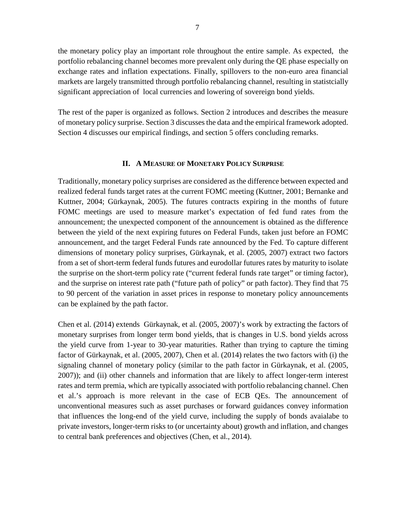the monetary policy play an important role throughout the entire sample. As expected, the portfolio rebalancing channel becomes more prevalent only during the QE phase especially on exchange rates and inflation expectations. Finally, spillovers to the non-euro area financial markets are largely transmitted through portfolio rebalancing channel, resulting in statistcially significant appreciation of local currencies and lowering of sovereign bond yields.

The rest of the paper is organized as follows. Section 2 introduces and describes the measure of monetary policy surprise. Section 3 discusses the data and the empirical framework adopted. Section 4 discusses our empirical findings, and section 5 offers concluding remarks.

#### **II. A MEASURE OF MONETARY POLICY SURPRISE**

<span id="page-6-0"></span>Traditionally, monetary policy surprises are considered as the difference between expected and realized federal funds target rates at the current FOMC meeting (Kuttner, 2001; Bernanke and Kuttner, 2004; Gürkaynak, 2005). The futures contracts expiring in the months of future FOMC meetings are used to measure market's expectation of fed fund rates from the announcement; the unexpected component of the announcement is obtained as the difference between the yield of the next expiring futures on Federal Funds, taken just before an FOMC announcement, and the target Federal Funds rate announced by the Fed. To capture different dimensions of monetary policy surprises, Gürkaynak, et al. (2005, 2007) extract two factors from a set of short-term federal funds futures and eurodollar futures rates by maturity to isolate the surprise on the short-term policy rate ("current federal funds rate target" or timing factor), and the surprise on interest rate path ("future path of policy" or path factor). They find that 75 to 90 percent of the variation in asset prices in response to monetary policy announcements can be explained by the path factor.

Chen et al. (2014) extends Gürkaynak, et al. (2005, 2007)'s work by extracting the factors of monetary surprises from longer term bond yields, that is changes in U.S. bond yields across the yield curve from 1-year to 30-year maturities. Rather than trying to capture the timing factor of Gürkaynak, et al. (2005, 2007), Chen et al. (2014) relates the two factors with (i) the signaling channel of monetary policy (similar to the path factor in Gürkaynak, et al. (2005, 2007)); and (ii) other channels and information that are likely to affect longer-term interest rates and term premia, which are typically associated with portfolio rebalancing channel. Chen et al.'s approach is more relevant in the case of ECB QEs. The announcement of unconventional measures such as asset purchases or forward guidances convey information that influences the long-end of the yield curve, including the supply of bonds avaialabe to private investors, longer-term risks to (or uncertainty about) growth and inflation, and changes to central bank preferences and objectives (Chen, et al., 2014).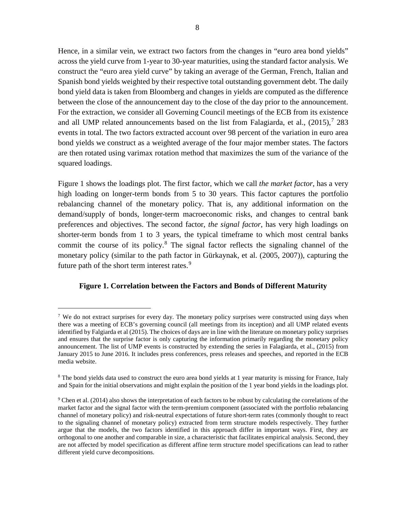Hence, in a similar vein, we extract two factors from the changes in "euro area bond yields" across the yield curve from 1-year to 30-year maturities, using the standard factor analysis. We construct the "euro area yield curve" by taking an average of the German, French, Italian and Spanish bond yields weighted by their respective total outstanding government debt. The daily bond yield data is taken from Bloomberg and changes in yields are computed as the difference between the close of the announcement day to the close of the day prior to the announcement. For the extraction, we consider all Governing Council meetings of the ECB from its existence and all UMP related announcements based on the list from Falagiarda, et al., (2015), [7](#page-7-0) 283 events in total. The two factors extracted account over 98 percent of the variation in euro area bond yields we construct as a weighted average of the four major member states. The factors are then rotated using varimax rotation method that maximizes the sum of the variance of the squared loadings.

Figure 1 shows the loadings plot. The first factor, which we call *the market factor*, has a very high loading on longer-term bonds from 5 to 30 years. This factor captures the portfolio rebalancing channel of the monetary policy. That is, any additional information on the demand/supply of bonds, longer-term macroeconomic risks, and changes to central bank preferences and objectives. The second factor, *the signal factor*, has very high loadings on shorter-term bonds from 1 to 3 years, the typical timeframe to which most central banks commit the course of its policy. $8$  The signal factor reflects the signaling channel of the monetary policy (similar to the path factor in Gürkaynak, et al. (2005, 2007)), capturing the future path of the short term interest rates.<sup>[9](#page-7-2)</sup>

## **Figure 1. Correlation between the Factors and Bonds of Different Maturity**

<span id="page-7-0"></span><sup>&</sup>lt;sup>7</sup> We do not extract surprises for every day. The monetary policy surprises were constructed using days when there was a meeting of ECB's governing council (all meetings from its inception) and all UMP related events identified by Falgiarda et al (2015). The choices of days are in line with the literature on monetary policy surprises and ensures that the surprise factor is only capturing the information primarily regarding the monetary policy announcement. The list of UMP events is constructed by extending the series in Falagiarda, et al., (2015) from January 2015 to June 2016. It includes press conferences, press releases and speeches, and reported in the ECB media website.

<span id="page-7-1"></span><sup>&</sup>lt;sup>8</sup> The bond yields data used to construct the euro area bond yields at 1 year maturity is missing for France, Italy and Spain for the initial observations and might explain the position of the 1 year bond yields in the loadings plot.

<span id="page-7-2"></span> $9$  Chen et al. (2014) also shows the interpretation of each factors to be robust by calculating the correlations of the market factor and the signal factor with the term-premium component (associated with the portfolio rebalancing channel of monetary policy) and risk-neutral expectations of future short-term rates (commonly thought to react to the signaling channel of monetary policy) extracted from term structure models respectively. They further argue that the models, the two factors identified in this approach differ in important ways. First, they are orthogonal to one another and comparable in size, a characteristic that facilitates empirical analysis. Second, they are not affected by model specification as different affine term structure model specifications can lead to rather different yield curve decompositions.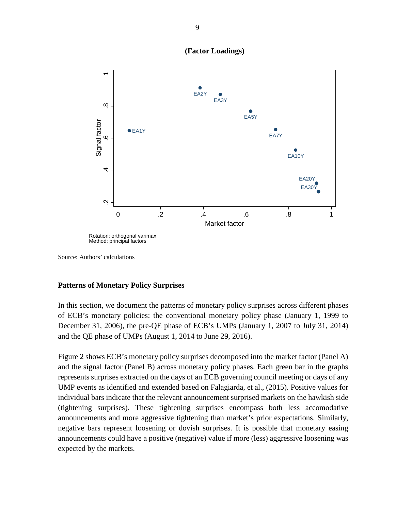

**(Factor Loadings)**

Source: Authors' calculations

#### **Patterns of Monetary Policy Surprises**

In this section, we document the patterns of monetary policy surprises across different phases of ECB's monetary policies: the conventional monetary policy phase (January 1, 1999 to December 31, 2006), the pre-QE phase of ECB's UMPs (January 1, 2007 to July 31, 2014) and the QE phase of UMPs (August 1, 2014 to June 29, 2016).

Figure 2 shows ECB's monetary policy surprises decomposed into the market factor (Panel A) and the signal factor (Panel B) across monetary policy phases. Each green bar in the graphs represents surprises extracted on the days of an ECB governing council meeting or days of any UMP events as identified and extended based on Falagiarda, et al., (2015). Positive values for individual bars indicate that the relevant announcement surprised markets on the hawkish side (tightening surprises). These tightening surprises encompass both less accomodative announcements and more aggressive tightening than market's prior expectations. Similarly, negative bars represent loosening or dovish surprises. It is possible that monetary easing announcements could have a positive (negative) value if more (less) aggressive loosening was expected by the markets.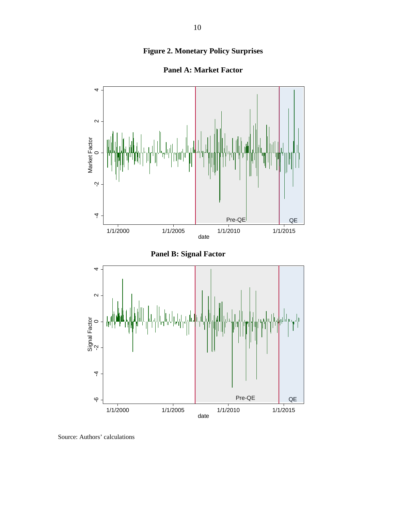# **Figure 2. Monetary Policy Surprises**



**Panel A: Market Factor**

Source: Authors' calculations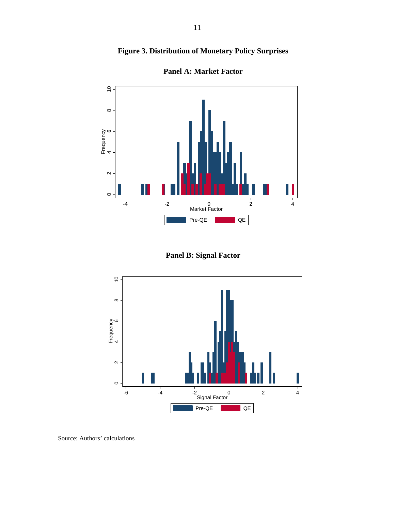# **Figure 3. Distribution of Monetary Policy Surprises**





**Panel B: Signal Factor**



Source: Authors' calculations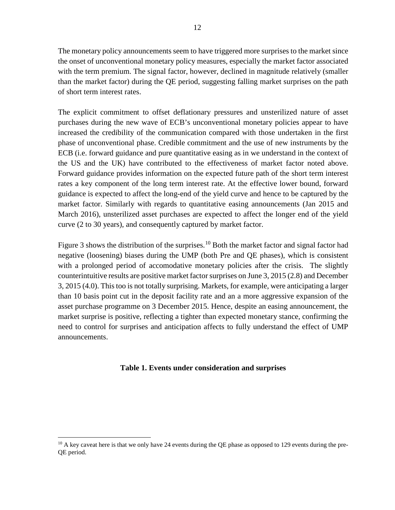The monetary policy announcements seem to have triggered more surprises to the market since the onset of unconventional monetary policy measures, especially the market factor associated with the term premium. The signal factor, however, declined in magnitude relatively (smaller than the market factor) during the QE period, suggesting falling market surprises on the path of short term interest rates.

The explicit commitment to offset deflationary pressures and unsterilized nature of asset purchases during the new wave of ECB's unconventional monetary policies appear to have increased the credibility of the communication compared with those undertaken in the first phase of unconventional phase. Credible commitment and the use of new instruments by the ECB (i.e. forward guidance and pure quantitative easing as in we understand in the context of the US and the UK) have contributed to the effectiveness of market factor noted above. Forward guidance provides information on the expected future path of the short term interest rates a key component of the long term interest rate. At the effective lower bound, forward guidance is expected to affect the long-end of the yield curve and hence to be captured by the market factor. Similarly with regards to quantitative easing announcements (Jan 2015 and March 2016), unsterilized asset purchases are expected to affect the longer end of the yield curve (2 to 30 years), and consequently captured by market factor.

Figure 3 shows the distribution of the surprises.<sup>[10](#page-11-0)</sup> Both the market factor and signal factor had negative (loosening) biases during the UMP (both Pre and QE phases), which is consistent with a prolonged period of accomodative monetary policies after the crisis. The slightly counterintuitive results are positive market factor surprises on June 3, 2015 (2.8) and December 3, 2015 (4.0). This too is not totally surprising. Markets, for example, were anticipating a larger than 10 basis point cut in the deposit facility rate and an a more aggressive expansion of the asset purchase programme on 3 December 2015. Hence, despite an easing announcement, the market surprise is positive, reflecting a tighter than expected monetary stance, confirming the need to control for surprises and anticipation affects to fully understand the effect of UMP announcements.

## **Table 1. Events under consideration and surprises**

<span id="page-11-0"></span> $10$  A key caveat here is that we only have 24 events during the QE phase as opposed to 129 events during the pre-QE period.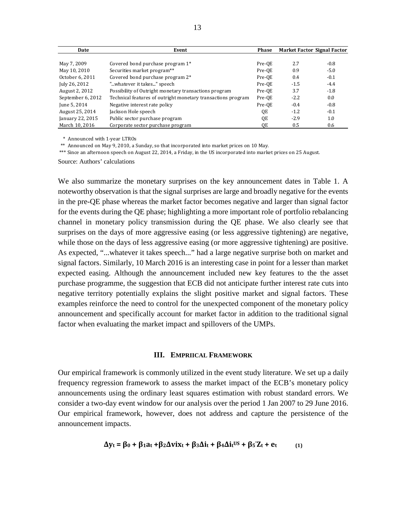| Date              | Event                                                        | <b>Phase</b> |        | Market Factor Signal Factor |
|-------------------|--------------------------------------------------------------|--------------|--------|-----------------------------|
|                   |                                                              |              |        |                             |
| May 7, 2009       | Covered bond purchase program 1*                             | Pre-OE       | 2.7    | $-0.8$                      |
| May 10, 2010      | Securities market program**                                  | Pre-OE       | 0.9    | $-5.0$                      |
| October 6, 2011   | Covered bond purchase program 2*                             | Pre-OE       | 0.4    | $-0.1$                      |
| July 26, 2012     | "whatever it takes" speech                                   | Pre-OE       | $-1.5$ | $-4.4$                      |
| August 2, 2012    | Possibility of Outright monetary transactions program        | Pre-OE       | 3.7    | $-1.8$                      |
| September 6, 2012 | Technical features of outright monetary transactions program | Pre-QE       | $-2.2$ | 0.0                         |
| June 5, 2014      | Negative interest rate policy                                | Pre-OE       | $-0.4$ | $-0.8$                      |
| August 25, 2014   | Jackson Hole speech                                          | QE           | $-1.2$ | $-0.1$                      |
| January 22, 2015  | Public sector purchase program                               | QE           | $-2.9$ | 1.0                         |
| March 10, 2016    | Corporate sector purchase program                            | QE           | 0.5    | 0.6                         |

\* Announced with 1-year LTROs

\*\* Announced on May 9, 2010, a Sunday, so that incorporated into market prices on 10 May.

\*\*\* Since an afternoon speech on August 22, 2014, a Friday, in the US incorporated into market prices on 25 August.

Source: Authors' calculations

We also summarize the monetary surprises on the key announcement dates in Table 1. A noteworthy observation is that the signal surprises are large and broadly negative for the events in the pre-QE phase whereas the market factor becomes negative and larger than signal factor for the events during the QE phase; highlighting a more important role of portfolio rebalancing channel in monetary policy transmission during the QE phase. We also clearly see that surprises on the days of more aggressive easing (or less aggressive tightening) are negative, while those on the days of less aggressive easing (or more aggressive tightening) are positive. As expected, "...whatever it takes speech..." had a large negative surprise both on market and signal factors. Similarly, 10 March 2016 is an interesting case in point for a lesser than market expected easing. Although the announcement included new key features to the the asset purchase programme, the suggestion that ECB did not anticipate further interest rate cuts into negative territory potentially explains the slight positive market and signal factors. These examples reinforce the need to control for the unexpected component of the monetary policy announcement and specifically account for market factor in addition to the traditional signal factor when evaluating the market impact and spillovers of the UMPs.

#### **III. EMPRIICAL FRAMEWORK**

<span id="page-12-0"></span>Our empirical framework is commonly utilized in the event study literature. We set up a daily frequency regression framework to assess the market impact of the ECB's monetary policy announcements using the ordinary least squares estimation with robust standard errors. We consider a two-day event window for our analysis over the period 1 Jan 2007 to 29 June 2016. Our empirical framework, however, does not address and capture the persistence of the announcement impacts.

$$
\Delta y_t = \beta_0 + \beta_1 a_t + \beta_2 \Delta v \mathbf{i} x_t + \beta_3 \Delta \mathbf{i} t + \beta_4 \Delta \mathbf{i} t^{US} + \beta_5' \mathbf{Z}_t + \mathbf{e}_t \tag{1}
$$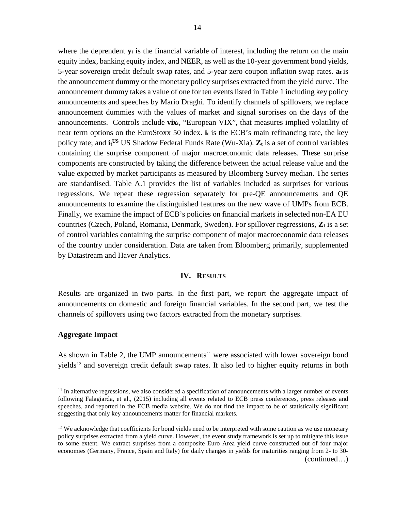where the deprendent  $y_t$  is the financial variable of interest, including the return on the main equity index, banking equity index, and NEER, as well as the 10-year government bond yields, 5-year sovereign credit default swap rates, and 5-year zero coupon inflation swap rates. **at** is the announcement dummy or the monetary policy surprises extracted from the yield curve. The announcement dummy takes a value of one for ten events listed in Table 1 including key policy announcements and speeches by Mario Draghi. To identify channels of spillovers, we replace announcement dummies with the values of market and signal surprises on the days of the announcements. Controls include **vixt**, "European VIX", that measures implied volatility of near term options on the EuroStoxx 50 index. **it** is the ECB's main refinancing rate, the key policy rate; and  $\mathbf{i} \mathbf{t}^{\text{US}}$  US Shadow Federal Funds Rate (Wu-Xia).  $\mathbf{Z}_t$  is a set of control variables containing the surprise component of major macroeconomic data releases. These surprise components are constructed by taking the difference between the actual release value and the value expected by market participants as measured by Bloomberg Survey median. The series are standardised. Table A.1 provides the list of variables included as surprises for various regressions. We repeat these regression separately for pre-QE announcements and QE announcements to examine the distinguished features on the new wave of UMPs from ECB. Finally, we examine the impact of ECB's policies on financial markets in selected non-EA EU countries (Czech, Poland, Romania, Denmark, Sweden). For spillover regrressions,  $\mathbf{Z}_t$  is a set of control variables containing the surprise component of major macroeconomic data releases of the country under consideration. Data are taken from Bloomberg primarily, supplemented by Datastream and Haver Analytics.

#### **IV. RESULTS**

<span id="page-13-0"></span>Results are organized in two parts. In the first part, we report the aggregate impact of announcements on domestic and foreign financial variables. In the second part, we test the channels of spillovers using two factors extracted from the monetary surprises.

#### **Aggregate Impact**

As shown in Table 2, the UMP announcements<sup>[11](#page-13-1)</sup> were associated with lower sovereign bond yields[12](#page-13-2) and sovereign credit default swap rates. It also led to higher equity returns in both

<span id="page-13-1"></span> $<sup>11</sup>$  In alternative regressions, we also considered a specification of announcements with a larger number of events</sup> following Falagiarda, et al., (2015) including all events related to ECB press conferences, press releases and speeches, and reported in the ECB media website. We do not find the impact to be of statistically significant suggesting that only key announcements matter for financial markets.

<span id="page-13-2"></span> $12$  We acknowledge that coefficients for bond yields need to be interpreted with some caution as we use monetary policy surprises extracted from a yield curve. However, the event study framework is set up to mitigate this issue to some extent. We extract surprises from a composite Euro Area yield curve constructed out of four major economies (Germany, France, Spain and Italy) for daily changes in yields for maturities ranging from 2- to 30-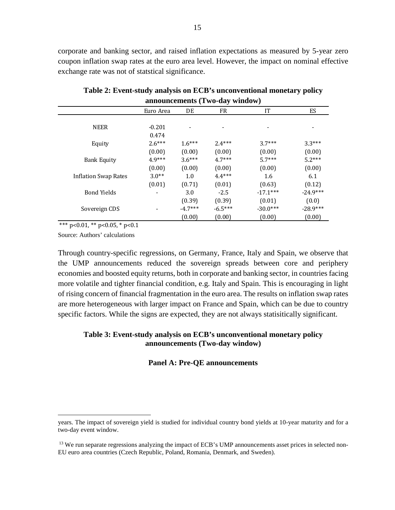corporate and banking sector, and raised inflation expectations as measured by 5-year zero coupon inflation swap rates at the euro area level. However, the impact on nominal effective exchange rate was not of statstical significance.

|                      |           |           | announcements (Two-day window) |            |            |
|----------------------|-----------|-----------|--------------------------------|------------|------------|
|                      | Euro Area | DE        | FR                             | IT         | <b>ES</b>  |
|                      |           |           |                                |            |            |
| <b>NEER</b>          | $-0.201$  |           |                                |            |            |
|                      | 0.474     |           |                                |            |            |
| Equity               | $2.6***$  | $1.6***$  | $2.4***$                       | $3.7***$   | $3.3***$   |
|                      | (0.00)    | (0.00)    | (0.00)                         | (0.00)     | (0.00)     |
| <b>Bank Equity</b>   | $4.9***$  | $3.6***$  | $4.7***$                       | $5.7***$   | $5.2***$   |
|                      | (0.00)    | (0.00)    | (0.00)                         | (0.00)     | (0.00)     |
| Inflation Swap Rates | $3.0**$   | 1.0       | $4.4***$                       | 1.6        | 6.1        |
|                      | (0.01)    | (0.71)    | (0.01)                         | (0.63)     | (0.12)     |
| <b>Bond Yields</b>   |           | 3.0       | $-2.5$                         | $-17.1***$ | $-24.9***$ |
|                      |           | (0.39)    | (0.39)                         | (0.01)     | (0.0)      |
| Sovereign CDS        |           | $-4.7***$ | $-6.5***$                      | $-30.0***$ | $-28.9***$ |
|                      |           | (0.00)    | (0.00)                         | (0.00)     | (0.00)     |

**Table 2: Event-study analysis on ECB's unconventional monetary policy** 

\*\*\* p<0.01, \*\* p<0.05, \* p<0.1

Source: Authors' calculations

Through country-specific regressions, on Germany, France, Italy and Spain, we observe that the UMP announcements reduced the sovereign spreads between core and periphery economies and boosted equity returns, both in corporate and banking sector, in countries facing more volatile and tighter financial condition, e.g. Italy and Spain. This is encouraging in light of rising concern of financial fragmentation in the euro area. The results on inflation swap rates are more heterogeneous with larger impact on France and Spain, which can be due to country specific factors. While the signs are expected, they are not always statisitically significant.

## **Table 3: Event-study analysis on ECB's unconventional monetary policy announcements (Two-day window)**

## **Panel A: Pre-QE announcements**

years. The impact of sovereign yield is studied for individual country bond yields at 10-year maturity and for a two-day event window.

<sup>&</sup>lt;sup>13</sup> We run separate regressions analyzing the impact of ECB's UMP announcements asset prices in selected non-EU euro area countries (Czech Republic, Poland, Romania, Denmark, and Sweden).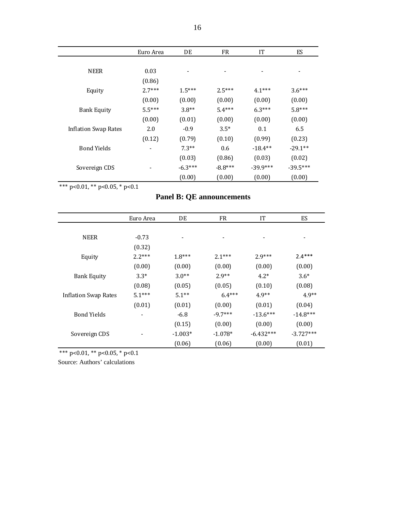|                             | Euro Area | DE        | <b>FR</b> | IT         | <b>ES</b>  |
|-----------------------------|-----------|-----------|-----------|------------|------------|
|                             |           |           |           |            |            |
| <b>NEER</b>                 | 0.03      |           |           | -          |            |
|                             | (0.86)    |           |           |            |            |
| Equity                      | $2.7***$  | $1.5***$  | $2.5***$  | $4.1***$   | $3.6***$   |
|                             | (0.00)    | (0.00)    | (0.00)    | (0.00)     | (0.00)     |
| <b>Bank Equity</b>          | $5.5***$  | $3.8**$   | $5.4***$  | $6.3***$   | $5.8***$   |
|                             | (0.00)    | (0.01)    | (0.00)    | (0.00)     | (0.00)     |
| <b>Inflation Swap Rates</b> | 2.0       | $-0.9$    | $3.5*$    | 0.1        | 6.5        |
|                             | (0.12)    | (0.79)    | (0.10)    | (0.99)     | (0.23)     |
| <b>Bond Yields</b>          |           | $7.3**$   | 0.6       | $-18.4**$  | $-29.1**$  |
|                             |           | (0.03)    | (0.86)    | (0.03)     | (0.02)     |
| Sovereign CDS               |           | $-6.3***$ | $-8.8***$ | $-39.9***$ | $-39.5***$ |
|                             |           | (0.00)    | (0.00)    | (0.00)     | (0.00)     |

\*\*\* p<0.01, \*\* p<0.05, \* p<0.1

# **Panel B: QE announcements**

|                      | Euro Area                | DE        | <b>FR</b> | IT          | ES          |
|----------------------|--------------------------|-----------|-----------|-------------|-------------|
|                      |                          |           |           |             |             |
| <b>NEER</b>          | $-0.73$                  |           |           |             |             |
|                      | (0.32)                   |           |           |             |             |
| Equity               | $2.2***$                 | $1.8***$  | $2.1***$  | $2.9***$    | $2.4***$    |
|                      | (0.00)                   | (0.00)    | (0.00)    | (0.00)      | (0.00)      |
| <b>Bank Equity</b>   | $3.3*$                   | $3.0**$   | $2.9**$   | $4.2*$      | $3.6*$      |
|                      | (0.08)                   | (0.05)    | (0.05)    | (0.10)      | (0.08)      |
| Inflation Swap Rates | $5.1***$                 | $5.1**$   | $6.4***$  | $4.9**$     | $4.9**$     |
|                      | (0.01)                   | (0.01)    | (0.00)    | (0.01)      | (0.04)      |
| <b>Bond Yields</b>   | $\overline{\phantom{a}}$ | $-6.8$    | $-9.7***$ | $-13.6***$  | $-14.8***$  |
|                      |                          | (0.15)    | (0.00)    | (0.00)      | (0.00)      |
| Sovereign CDS        |                          | $-1.003*$ | $-1.078*$ | $-6.432***$ | $-3.727***$ |
|                      |                          | (0.06)    | (0.06)    | (0.00)      | (0.01)      |

\*\*\* p<0.01, \*\* p<0.05, \* p<0.1

Source: Authors' calculations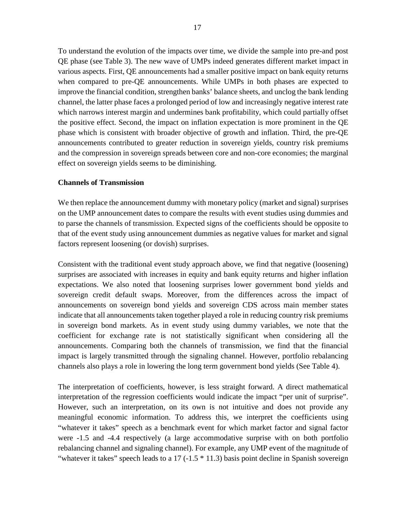To understand the evolution of the impacts over time, we divide the sample into pre-and post QE phase (see Table 3). The new wave of UMPs indeed generates different market impact in various aspects. First, QE announcements had a smaller positive impact on bank equity returns when compared to pre-QE announcements. While UMPs in both phases are expected to improve the financial condition, strengthen banks' balance sheets, and unclog the bank lending channel, the latter phase faces a prolonged period of low and increasingly negative interest rate which narrows interest margin and undermines bank profitability, which could partially offset the positive effect. Second, the impact on inflation expectation is more prominent in the QE phase which is consistent with broader objective of growth and inflation. Third, the pre-QE announcements contributed to greater reduction in sovereign yields, country risk premiums and the compression in sovereign spreads between core and non-core economies; the marginal effect on sovereign yields seems to be diminishing.

#### **Channels of Transmission**

We then replace the announcement dummy with monetary policy (market and signal) surprises on the UMP announcement dates to compare the results with event studies using dummies and to parse the channels of transmission. Expected signs of the coefficients should be opposite to that of the event study using announcement dummies as negative values for market and signal factors represent loosening (or dovish) surprises.

Consistent with the traditional event study approach above, we find that negative (loosening) surprises are associated with increases in equity and bank equity returns and higher inflation expectations. We also noted that loosening surprises lower government bond yields and sovereign credit default swaps. Moreover, from the differences across the impact of announcements on sovereign bond yields and sovereign CDS across main member states indicate that all announcements taken together played a role in reducing country risk premiums in sovereign bond markets. As in event study using dummy variables, we note that the coefficient for exchange rate is not statistically significant when considering all the announcements. Comparing both the channels of transmission, we find that the financial impact is largely transmitted through the signaling channel. However, portfolio rebalancing channels also plays a role in lowering the long term government bond yields (See Table 4).

The interpretation of coefficients, however, is less straight forward. A direct mathematical interpretation of the regression coefficients would indicate the impact "per unit of surprise". However, such an interpretation, on its own is not intuitive and does not provide any meaningful economic information. To address this, we interpret the coefficients using "whatever it takes" speech as a benchmark event for which market factor and signal factor were -1.5 and -4.4 respectively (a large accommodative surprise with on both portfolio rebalancing channel and signaling channel). For example, any UMP event of the magnitude of "whatever it takes" speech leads to a  $17$  ( $-1.5$   $*$  11.3) basis point decline in Spanish sovereign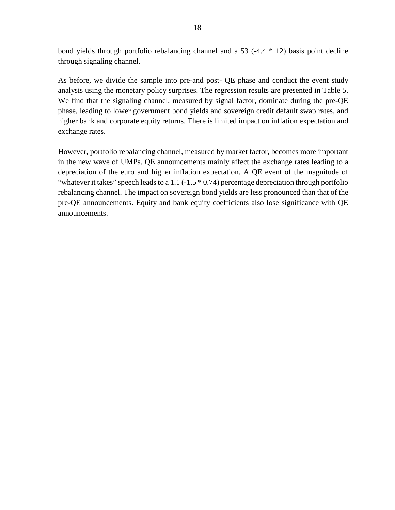bond yields through portfolio rebalancing channel and a 53 (-4.4 \* 12) basis point decline through signaling channel.

As before, we divide the sample into pre-and post- QE phase and conduct the event study analysis using the monetary policy surprises. The regression results are presented in Table 5. We find that the signaling channel, measured by signal factor, dominate during the pre-QE phase, leading to lower government bond yields and sovereign credit default swap rates, and higher bank and corporate equity returns. There is limited impact on inflation expectation and exchange rates.

However, portfolio rebalancing channel, measured by market factor, becomes more important in the new wave of UMPs. QE announcements mainly affect the exchange rates leading to a depreciation of the euro and higher inflation expectation. A QE event of the magnitude of "whatever it takes" speech leads to a 1.1 ( $-1.5 * 0.74$ ) percentage depreciation through portfolio rebalancing channel. The impact on sovereign bond yields are less pronounced than that of the pre-QE announcements. Equity and bank equity coefficients also lose significance with QE announcements.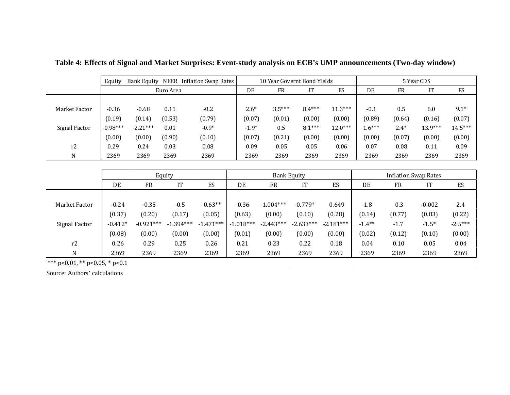|               | Equity     | Bank Equity | NEER      | Inflation Swap Rates |         |           | 10 Year Governt Bond Yields |           |          |           | 5 Year CDS |           |
|---------------|------------|-------------|-----------|----------------------|---------|-----------|-----------------------------|-----------|----------|-----------|------------|-----------|
|               |            |             | Euro Area |                      | DE      | <b>FR</b> | IT                          | ES        | DE       | <b>FR</b> | IT         | ES        |
|               |            |             |           |                      |         |           |                             |           |          |           |            |           |
| Market Factor | $-0.36$    | $-0.68$     | 0.11      | $-0.2$               | $2.6*$  | $3.5***$  | $8.4***$                    | $11.3***$ | $-0.1$   | 0.5       | 6.0        | $9.1*$    |
|               | (0.19)     | (0.14)      | (0.53)    | (0.79)               | (0.07)  | (0.01)    | (0.00)                      | (0.00)    | (0.89)   | (0.64)    | (0.16)     | (0.07)    |
| Signal Factor | $-0.98***$ | $-2.21***$  | 0.01      | $-0.9*$              | $-1.9*$ | 0.5       | $8.1***$                    | $12.0***$ | $1.6***$ | $2.4*$    | $13.9***$  | $14.5***$ |
|               | (0.00)     | (0.00)      | (0.90)    | (0.10)               | (0.07)  | (0.21)    | (0.00)                      | (0.00)    | (0.00)   | (0.07)    | (0.00)     | (0.00)    |
| r2            | 0.29       | 0.24        | 0.03      | 0.08                 | 0.09    | 0.05      | 0.05                        | 0.06      | 0.07     | 0.08      | 0.11       | 0.09      |
| N             | 2369       | 2369        | 2369      | 2369                 | 2369    | 2369      | 2369                        | 2369      | 2369     | 2369      | 2369       | 2369      |

**Table 4: Effects of Signal and Market Surprises: Event-study analysis on ECB's UMP announcements (Two-day window)**

|               |           |             | Equity      |             | <b>Bank Equity</b> |             |             |             | <b>Inflation Swap Rates</b> |           |          |           |
|---------------|-----------|-------------|-------------|-------------|--------------------|-------------|-------------|-------------|-----------------------------|-----------|----------|-----------|
|               | DE        | FR          | IT          | ES          | DE                 | <b>FR</b>   | IT          | ES          | DE                          | <b>FR</b> | IT       | ES        |
|               |           |             |             |             |                    |             |             |             |                             |           |          |           |
| Market Factor | $-0.24$   | $-0.35$     | $-0.5$      | $-0.63**$   | $-0.36$            | $-1.004***$ | $-0.779*$   | $-0.649$    | $-1.8$                      | $-0.3$    | $-0.002$ | 2.4       |
|               | (0.37)    | (0.20)      | (0.17)      | (0.05)      | (0.63)             | (0.00)      | (0.10)      | (0.28)      | (0.14)                      | (0.77)    | (0.83)   | (0.22)    |
| Signal Factor | $-0.412*$ | $-0.921***$ | $-1.394***$ | $-1.471***$ | $-1.018***$        | $-2.443***$ | $-2.633***$ | $-2.181***$ | $-1.4***$                   | $-1.7$    | $-1.5*$  | $-2.5***$ |
|               | (0.08)    | (0.00)      | (0.00)      | (0.00)      | (0.01)             | (0.00)      | (0.00)      | (0.00)      | (0.02)                      | (0.12)    | (0.10)   | (0.00)    |
| r2            | 0.26      | 0.29        | 0.25        | 0.26        | 0.21               | 0.23        | 0.22        | 0.18        | 0.04                        | 0.10      | 0.05     | 0.04      |
| N             | 2369      | 2369        | 2369        | 2369        | 2369               | 2369        | 2369        | 2369        | 2369                        | 2369      | 2369     | 2369      |

 $\sim 10^{11}$  m  $^{-1}$ 

\*\*\* p<0.01, \*\* p<0.05, \* p<0.1

Source: Authors' calculations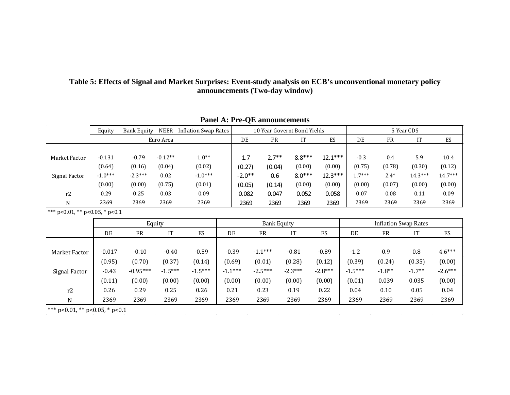## **Table 5: Effects of Signal and Market Surprises: Event-study analysis on ECB's unconventional monetary policy announcements (Two-day window)**

|                                | Equity    | <b>Bank Equity</b> | NEER      | <b>Inflation Swap Rates</b> | 10 Year Governt Bond Yields |           |                    |           |           | 5 Year CDS |                             |           |           |
|--------------------------------|-----------|--------------------|-----------|-----------------------------|-----------------------------|-----------|--------------------|-----------|-----------|------------|-----------------------------|-----------|-----------|
|                                |           |                    | Euro Area |                             |                             | DE        | <b>FR</b>          | IT        | ES        | DE         | <b>FR</b>                   | IT        | ES        |
|                                |           |                    |           |                             |                             |           |                    |           |           |            |                             |           |           |
| Market Factor                  | $-0.131$  | $-0.79$            | $-0.12**$ | $1.0**$                     |                             | 1.7       | $2.7**$            | $8.8***$  | $12.1***$ | $-0.3$     | 0.4                         | 5.9       | 10.4      |
|                                | (0.64)    | (0.16)             | (0.04)    | (0.02)                      |                             | (0.27)    | (0.04)             | (0.00)    | (0.00)    | (0.75)     | (0.78)                      | (0.30)    | (0.12)    |
| Signal Factor                  | $-1.0***$ | $-2.3***$          | 0.02      | $-1.0***$                   |                             | $-2.0**$  | 0.6                | $8.0***$  | $12.3***$ | $1.7***$   | $2.4*$                      | $14.3***$ | $14.7***$ |
|                                | (0.00)    | (0.00)             | (0.75)    | (0.01)                      |                             | (0.05)    | (0.14)             | (0.00)    | (0.00)    | (0.00)     | (0.07)                      | (0.00)    | (0.00)    |
| r2                             | 0.29      | 0.25               | 0.03      | 0.09                        |                             | 0.082     | 0.047              | 0.052     | 0.058     | 0.07       | 0.08                        | 0.11      | 0.09      |
| N                              | 2369      | 2369               | 2369      | 2369                        |                             | 2369      | 2369               | 2369      | 2369      | 2369       | 2369                        | 2369      | 2369      |
| *** p<0.01, ** p<0.05, * p<0.1 |           |                    |           |                             |                             |           |                    |           |           |            |                             |           |           |
|                                |           |                    | Equity    |                             |                             |           | <b>Bank Equity</b> |           |           |            | <b>Inflation Swap Rates</b> |           |           |
|                                | DE        | <b>FR</b>          | IT        | ES                          |                             | DE        | <b>FR</b>          | IT        | ES        | DE         | <b>FR</b>                   | IT        | ES        |
|                                |           |                    |           |                             |                             |           |                    |           |           |            |                             |           |           |
| Market Factor                  | $-0.017$  | $-0.10$            | $-0.40$   | $-0.59$                     |                             | $-0.39$   | $-1.1***$          | $-0.81$   | $-0.89$   | $-1.2$     | 0.9                         | 0.8       | $4.6***$  |
|                                | (0.95)    | (0.70)             | (0.37)    | (0.14)                      |                             | (0.69)    | (0.01)             | (0.28)    | (0.12)    | (0.39)     | (0.24)                      | (0.35)    | (0.00)    |
| Signal Factor                  | $-0.43$   | $-0.95***$         | $-1.5***$ | $-1.5***$                   |                             | $-1.1***$ | $-2.5***$          | $-2.3***$ | $-2.8***$ | $-1.5***$  | $-1.8**$                    | $-1.7**$  | $-2.6***$ |
|                                | (0.11)    | (0.00)             | (0.00)    | (0.00)                      |                             | (0.00)    | (0.00)             | (0.00)    | (0.00)    | (0.01)     | 0.039                       | 0.035     | (0.00)    |
| r2                             | 0.26      | 0.29               | 0.25      | 0.26                        |                             | 0.21      | 0.23               | 0.19      | 0.22      | 0.04       | 0.10                        | 0.05      | 0.04      |
| $\mathbf N$                    | 2369      | 2369               | 2369      | 2369                        |                             | 2369      | 2369               | 2369      | 2369      | 2369       | 2369                        | 2369      | 2369      |

**Panel A: Pre-QE announcements**

\*\*\* p<0.01, \*\* p<0.05, \* p<0.1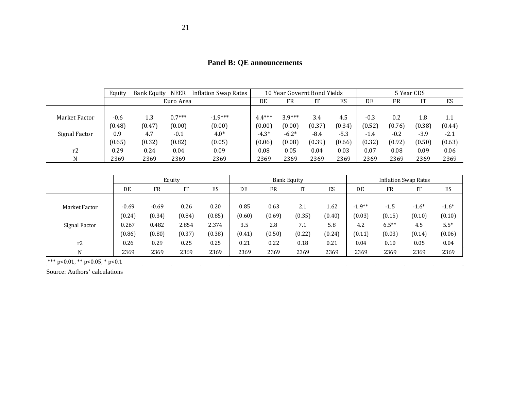|               | Equity | <b>Bank Equity</b> | <b>NEER</b> | <b>Inflation Swap Rates</b> |          | 10 Year Governt Bond Yields |        |        |        |        | 5 Year CDS |         |
|---------------|--------|--------------------|-------------|-----------------------------|----------|-----------------------------|--------|--------|--------|--------|------------|---------|
|               |        |                    | Euro Area   |                             | DE       | <b>FR</b>                   | IT     | ES     | DE     | FR     | IT         | ES      |
|               |        |                    |             |                             |          |                             |        |        |        |        |            |         |
| Market Factor | $-0.6$ | 1.3                | $0.7***$    | $-1.9***$                   | $4.4***$ | $3.9***$                    | 3.4    | 4.5    | $-0.3$ | 0.2    | 1.8        | $1.1\,$ |
|               | (0.48) | (0.47)             | (0.00)      | (0.00)                      | (0.00)   | (0.00)                      | (0.37) | (0.34) | (0.52) | (0.76) | (0.38)     | (0.44)  |
| Signal Factor | 0.9    | 4.7                | $-0.1$      | $4.0*$                      | $-4.3*$  | $-6.2*$                     | $-8.4$ | $-5.3$ | $-1.4$ | $-0.2$ | $-3.9$     | $-2.1$  |
|               | (0.65) | (0.32)             | (0.82)      | (0.05)                      | (0.06)   | (0.08)                      | (0.39) | (0.66) | (0.32) | (0.92) | (0.50)     | (0.63)  |
| r2            | 0.29   | 0.24               | 0.04        | 0.09                        | 0.08     | 0.05                        | 0.04   | 0.03   | 0.07   | 0.08   | 0.09       | 0.06    |
| N             | 2369   | 2369               | 2369        | 2369                        | 2369     | 2369                        | 2369   | 2369   | 2369   | 2369   | 2369       | 2369    |

|  |  | <b>Panel B: QE announcements</b> |
|--|--|----------------------------------|
|--|--|----------------------------------|

|               | Equity  |           |        |        |        |           | <b>Bank Equity</b> | <b>Inflation Swap Rates</b> |          |           |         |         |
|---------------|---------|-----------|--------|--------|--------|-----------|--------------------|-----------------------------|----------|-----------|---------|---------|
|               | DE      | <b>FR</b> | IT     | ES     | DE     | <b>FR</b> |                    | ES                          | DE       | <b>FR</b> | IT      | ES      |
|               |         |           |        |        |        |           |                    |                             |          |           |         |         |
| Market Factor | $-0.69$ | $-0.69$   | 0.26   | 0.20   | 0.85   | 0.63      | 2.1                | 1.62                        | $-1.9**$ | $-1.5$    | $-1.6*$ | $-1.6*$ |
|               | (0.24)  | (0.34)    | (0.84) | (0.85) | (0.60) | (0.69)    | (0.35)             | (0.40)                      | (0.03)   | (0.15)    | (0.10)  | (0.10)  |
| Signal Factor | 0.267   | 0.482     | 2.854  | 2.374  | 3.5    | 2.8       | 7.1                | 5.8                         | 4.2      | $6.5***$  | 4.5     | $5.5*$  |
|               | (0.86)  | (0.80)    | (0.37) | (0.38) | (0.41) | (0.50)    | (0.22)             | (0.24)                      | (0.11)   | (0.03)    | (0.14)  | (0.06)  |
| r2            | 0.26    | 0.29      | 0.25   | 0.25   | 0.21   | 0.22      | 0.18               | 0.21                        | 0.04     | 0.10      | 0.05    | 0.04    |
| N             | 2369    | 2369      | 2369   | 2369   | 2369   | 2369      | 2369               | 2369                        | 2369     | 2369      | 2369    | 2369    |

\*\*\* p<0.01, \*\* p<0.05, \* p<0.1

Source: Authors' calculations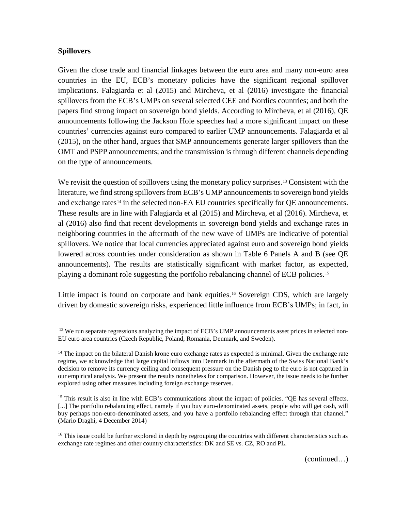## **Spillovers**

Given the close trade and financial linkages between the euro area and many non-euro area countries in the EU, ECB's monetary policies have the significant regional spillover implications. Falagiarda et al (2015) and Mircheva, et al (2016) investigate the financial spillovers from the ECB's UMPs on several selected CEE and Nordics countries; and both the papers find strong impact on sovereign bond yields. According to Mircheva, et al (2016), QE announcements following the Jackson Hole speeches had a more significant impact on these countries' currencies against euro compared to earlier UMP announcements. Falagiarda et al (2015), on the other hand, argues that SMP announcements generate larger spillovers than the OMT and PSPP announcements; and the transmission is through different channels depending on the type of announcements.

We revisit the question of spillovers using the monetary policy surprises.<sup>[13](#page-21-0)</sup> Consistent with the literature, we find strong spillovers from ECB's UMP announcements to sovereign bond yields and exchange rates<sup>[14](#page-21-1)</sup> in the selected non-EA EU countries specifically for QE announcements. These results are in line with Falagiarda et al (2015) and Mircheva, et al (2016). Mircheva, et al (2016) also find that recent developments in sovereign bond yields and exchange rates in neighboring countries in the aftermath of the new wave of UMPs are indicative of potential spillovers. We notice that local currencies appreciated against euro and sovereign bond yields lowered across countries under consideration as shown in Table 6 Panels A and B (see QE announcements). The results are statistically significant with market factor, as expected, playing a dominant role suggesting the portfolio rebalancing channel of ECB policies.[15](#page-21-2)

Little impact is found on corporate and bank equities.<sup>[16](#page-21-3)</sup> Sovereign CDS, which are largely driven by domestic sovereign risks, experienced little influence from ECB's UMPs; in fact, in

<sup>&</sup>lt;sup>13</sup> We run separate regressions analyzing the impact of ECB's UMP announcements asset prices in selected non-EU euro area countries (Czech Republic, Poland, Romania, Denmark, and Sweden).

<span id="page-21-1"></span><sup>&</sup>lt;sup>14</sup> The impact on the bilateral Danish krone euro exchange rates as expected is minimal. Given the exchange rate regime, we acknowledge that large capital inflows into Denmark in the aftermath of the Swiss National Bank's decision to remove its currency ceiling and consequent pressure on the Danish peg to the euro is not captured in our empirical analysis. We present the results nonetheless for comparison. However, the issue needs to be further explored using other measures including foreign exchange reserves.

<span id="page-21-2"></span><sup>&</sup>lt;sup>15</sup> This result is also in line with ECB's communications about the impact of policies. "QE has several effects. [...] The portfolio rebalancing effect, namely if you buy euro-denominated assets, people who will get cash, will buy perhaps non-euro-denominated assets, and you have a portfolio rebalancing effect through that channel." (Mario Draghi, 4 December 2014)

<span id="page-21-3"></span><span id="page-21-0"></span><sup>&</sup>lt;sup>16</sup> This issue could be further explored in depth by regrouping the countries with different characteristics such as exchange rate regimes and other country characteristics: DK and SE vs. CZ, RO and PL.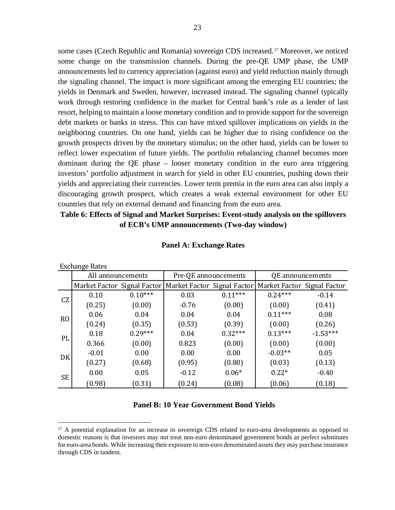some cases (Czech Republic and Romania) sovereign CDS increased.[17](#page-22-0) Moreover, we noticed some change on the transmission channels. During the pre-QE UMP phase, the UMP announcements led to currency appreciation (against euro) and yield reduction mainly through the signaling channel. The impact is more significant among the emerging EU countries; the yields in Denmark and Sweden, however, increased instead. The signaling channel typically work through restoring confidence in the market for Central bank's role as a lender of last resort, helping to maintain a loose monetary condition and to provide support for the sovereign debt markets or banks in stress. This can have mixed spillover implications on yields in the neighboring countries. On one hand, yields can be higher due to rising confidence on the growth prospects driven by the monetary stimulus; on the other hand, yields can be lower to reflect lower expectation of future yields. The portfolio rebalancing channel becomes more dominant during the QE phase – looser monetary condition in the euro area triggering investors' portfolio adjustment in search for yield in other EU countries, pushing down their yields and appreciating their currencies. Lower term premia in the euro area can also imply a discouraging growth prospect, which creates a weak external environment for other EU countries that rely on external demand and financing from the euro area.

## **Table 6: Effects of Signal and Market Surprises: Event-study analysis on the spillovers of ECB's UMP announcements (Two-day window)**

|                | <b>Exchange Rates</b> |           |                                                                                         |           |                  |            |  |  |
|----------------|-----------------------|-----------|-----------------------------------------------------------------------------------------|-----------|------------------|------------|--|--|
|                | All announcements     |           | Pre-QE announcements                                                                    |           | QE announcements |            |  |  |
|                |                       |           | Market Factor Signal Factor   Market Factor Signal Factor   Market Factor Signal Factor |           |                  |            |  |  |
| CZ             | 0.10                  | $0.10***$ | 0.03                                                                                    | $0.11***$ | $0.24***$        | $-0.14$    |  |  |
|                | (0.25)                | (0.00)    | $-0.76$                                                                                 | (0.00)    | (0.00)           | (0.41)     |  |  |
| R <sub>O</sub> | 0.06                  | 0.04      | 0.04                                                                                    | 0.04      | $0.11***$        | 0.08       |  |  |
|                | (0.24)                | (0.35)    | (0.53)                                                                                  | (0.39)    | (0.00)           | (0.26)     |  |  |
| PL             | 0.18                  | $0.29***$ | 0.04                                                                                    | $0.32***$ | $0.13***$        | $-1.53***$ |  |  |
|                | 0.366                 | (0.00)    | 0.823                                                                                   | (0.00)    | (0.00)           | (0.00)     |  |  |
| DK             | $-0.01$               | 0.00      | 0.00                                                                                    | 0.00      | $-0.03**$        | 0.05       |  |  |
|                | (0.27)                | (0.68)    | (0.95)                                                                                  | (0.80)    | (0.03)           | (0.13)     |  |  |
| <b>SE</b>      | 0.00                  | 0.05      | $-0.12$                                                                                 | $0.06*$   | $0.22*$          | $-0.40$    |  |  |
|                | (0.98)                | (0.31)    | (0.24)                                                                                  | (0.08)    | (0.06)           | (0.18)     |  |  |

#### **Panel A: Exchange Rates**

#### **Panel B: 10 Year Government Bond Yields**

<span id="page-22-0"></span><sup>&</sup>lt;sup>17</sup> A potential explanation for an increase in sovereign CDS related to euro-area developments as opposed to domestic reasons is that investors may not treat non-euro denominated government bonds as perfect substitutes for euro-area bonds. While increasing their exposure to non-euro denominated assets they may purchase insurance through CDS in tandem.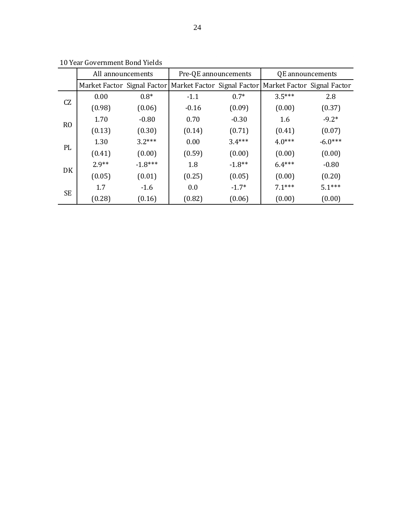|                | All announcements |           | Pre-QE announcements                                                                |          | QE announcements |           |
|----------------|-------------------|-----------|-------------------------------------------------------------------------------------|----------|------------------|-----------|
|                |                   |           | Market Factor Signal Factor Market Factor Signal Factor Market Factor Signal Factor |          |                  |           |
| CZ             | 0.00              | $0.8*$    | $-1.1$                                                                              | $0.7*$   | $3.5***$         | 2.8       |
|                | (0.98)            | (0.06)    | $-0.16$                                                                             | (0.09)   | (0.00)           | (0.37)    |
| R <sub>O</sub> | 1.70              | $-0.80$   | 0.70                                                                                | $-0.30$  | 1.6              | $-9.2*$   |
|                | (0.13)            | (0.30)    | (0.14)                                                                              | (0.71)   | (0.41)           | (0.07)    |
| PL             | 1.30              | $3.2***$  | 0.00                                                                                | $3.4***$ | $4.0***$         | $-6.0***$ |
|                | (0.41)            | (0.00)    | (0.59)                                                                              | (0.00)   | (0.00)           | (0.00)    |
| DK             | $2.9**$           | $-1.8***$ | 1.8                                                                                 | $-1.8**$ | $6.4***$         | $-0.80$   |
|                | (0.05)            | (0.01)    | (0.25)                                                                              | (0.05)   | (0.00)           | (0.20)    |
| <b>SE</b>      | 1.7               | $-1.6$    | 0.0                                                                                 | $-1.7*$  | $7.1***$         | $5.1***$  |
|                | (0.28)            | (0.16)    | (0.82)                                                                              | (0.06)   | (0.00)           | (0.00)    |

10 Year Government Bond Yields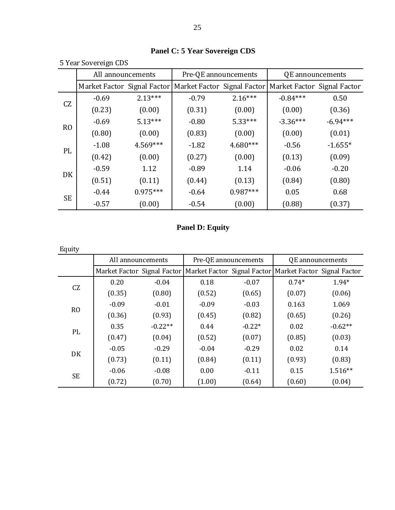|                | 5 Year Sovereign CDS        |            |                             |            |                             |            |  |  |  |
|----------------|-----------------------------|------------|-----------------------------|------------|-----------------------------|------------|--|--|--|
|                | All announcements           |            | Pre-QE announcements        |            | QE announcements            |            |  |  |  |
|                | Market Factor Signal Factor |            | Market Factor Signal Factor |            | Market Factor Signal Factor |            |  |  |  |
| <b>CZ</b>      | $-0.69$                     | $2.13***$  | $-0.79$                     | $2.16***$  | $-0.84***$                  | 0.50       |  |  |  |
|                | (0.23)                      | (0.00)     | (0.31)                      | (0.00)     | (0.00)                      | (0.36)     |  |  |  |
|                | $-0.69$                     | $5.13***$  | $-0.80$                     | $5.33***$  | $-3.36***$                  | $-6.94***$ |  |  |  |
| R <sub>O</sub> | (0.80)                      | (0.00)     | (0.83)                      | (0.00)     | (0.00)                      | (0.01)     |  |  |  |
| PL             | $-1.08$                     | $4.569***$ | $-1.82$                     | $4.680***$ | $-0.56$                     | $-1.655*$  |  |  |  |
|                | (0.42)                      | (0.00)     | (0.27)                      | (0.00)     | (0.13)                      | (0.09)     |  |  |  |
| DK             | $-0.59$                     | 1.12       | $-0.89$                     | 1.14       | $-0.06$                     | $-0.20$    |  |  |  |
|                | (0.51)                      | (0.11)     | (0.44)                      | (0.13)     | (0.84)                      | (0.80)     |  |  |  |
|                | $-0.44$                     | $0.975***$ | $-0.64$                     | $0.987***$ | 0.05                        | 0.68       |  |  |  |
| <b>SE</b>      | $-0.57$                     | (0.00)     | $-0.54$                     | (0.00)     | (0.88)                      | (0.37)     |  |  |  |

**Panel C: 5 Year Sovereign CDS**

|  |  | <b>Panel D: Equity</b> |
|--|--|------------------------|
|--|--|------------------------|

| Equity         |                             |           |                                                           |          |                  |           |  |
|----------------|-----------------------------|-----------|-----------------------------------------------------------|----------|------------------|-----------|--|
|                | All announcements           |           | Pre-QE announcements                                      |          | QE announcements |           |  |
|                | Market Factor Signal Factor |           | Market Factor Signal Factor   Market Factor Signal Factor |          |                  |           |  |
| CZ             | 0.20                        | $-0.04$   | 0.18                                                      | $-0.07$  | $0.74*$          | $1.94*$   |  |
|                | (0.35)                      | (0.80)    | (0.52)                                                    | (0.65)   | (0.07)           | (0.06)    |  |
|                | $-0.09$                     | $-0.01$   | $-0.09$                                                   | $-0.03$  | 0.163            | 1.069     |  |
| R <sub>O</sub> | (0.36)                      | (0.93)    | (0.45)                                                    | (0.82)   | (0.65)           | (0.26)    |  |
|                | 0.35                        | $-0.22**$ | 0.44                                                      | $-0.22*$ | 0.02             | $-0.62**$ |  |
| PL             | (0.47)                      | (0.04)    | (0.52)                                                    | (0.07)   | (0.85)           | (0.03)    |  |
| DK             | $-0.05$                     | $-0.29$   | $-0.04$                                                   | $-0.29$  | 0.02             | 0.14      |  |
|                | (0.73)                      | (0.11)    | (0.84)                                                    | (0.11)   | (0.93)           | (0.83)    |  |
|                | $-0.06$                     | $-0.08$   | 0.00                                                      | $-0.11$  | 0.15             | $1.516**$ |  |
| <b>SE</b>      | (0.72)                      | (0.70)    | (1.00)                                                    | (0.64)   | (0.60)           | (0.04)    |  |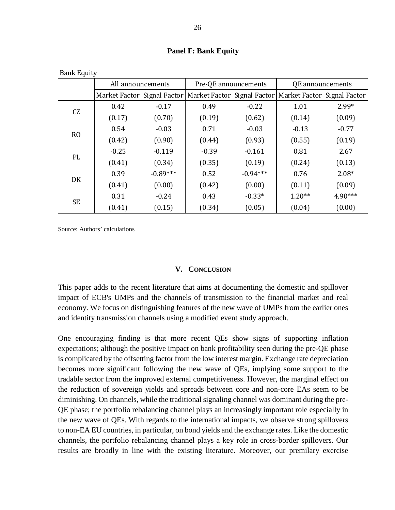| <b>Bank Equity</b> |                             |            |                      |            |                                                           |           |  |
|--------------------|-----------------------------|------------|----------------------|------------|-----------------------------------------------------------|-----------|--|
|                    | All announcements           |            | Pre-QE announcements |            | QE announcements                                          |           |  |
|                    | Market Factor Signal Factor |            |                      |            | Market Factor Signal Factor   Market Factor Signal Factor |           |  |
|                    | 0.42                        | $-0.17$    | 0.49                 | $-0.22$    | 1.01                                                      | $2.99*$   |  |
| CZ                 | (0.17)                      | (0.70)     | (0.19)               | (0.62)     | (0.14)                                                    | (0.09)    |  |
|                    | 0.54                        | $-0.03$    | 0.71                 | $-0.03$    | $-0.13$                                                   | $-0.77$   |  |
| R <sub>O</sub>     | (0.42)                      | (0.90)     | (0.44)               | (0.93)     | (0.55)                                                    | (0.19)    |  |
|                    | $-0.25$                     | $-0.119$   | $-0.39$              | $-0.161$   | 0.81                                                      | 2.67      |  |
| PL                 | (0.41)                      | (0.34)     | (0.35)               | (0.19)     | (0.24)                                                    | (0.13)    |  |
|                    | 0.39                        | $-0.89***$ | 0.52                 | $-0.94***$ | 0.76                                                      | $2.08*$   |  |
| DK                 | (0.41)                      | (0.00)     | (0.42)               | (0.00)     | (0.11)                                                    | (0.09)    |  |
|                    | 0.31                        | $-0.24$    | 0.43                 | $-0.33*$   | $1.20**$                                                  | $4.90***$ |  |
| <b>SE</b>          | (0.41)                      | (0.15)     | (0.34)               | (0.05)     | (0.04)                                                    | (0.00)    |  |

**Panel F: Bank Equity**

Source: Authors' calculations

#### **V. CONCLUSION**

<span id="page-25-0"></span>This paper adds to the recent literature that aims at documenting the domestic and spillover impact of ECB's UMPs and the channels of transmission to the financial market and real economy. We focus on distinguishing features of the new wave of UMPs from the earlier ones and identity transmission channels using a modified event study approach.

One encouraging finding is that more recent QEs show signs of supporting inflation expectations; although the positive impact on bank profitability seen during the pre-QE phase is complicated by the offsetting factor from the low interest margin. Exchange rate depreciation becomes more significant following the new wave of QEs, implying some support to the tradable sector from the improved external competitiveness. However, the marginal effect on the reduction of sovereign yields and spreads between core and non-core EAs seem to be diminishing. On channels, while the traditional signaling channel was dominant during the pre-QE phase; the portfolio rebalancing channel plays an increasingly important role especially in the new wave of QEs. With regards to the international impacts, we observe strong spillovers to non-EA EU countries, in particular, on bond yields and the exchange rates. Like the domestic channels, the portfolio rebalancing channel plays a key role in cross-border spillovers. Our results are broadly in line with the existing literature. Moreover, our premilary exercise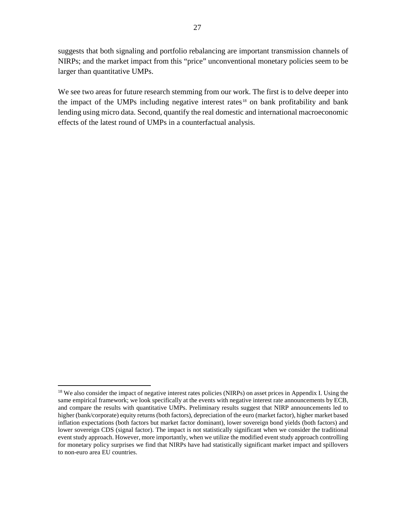suggests that both signaling and portfolio rebalancing are important transmission channels of NIRPs; and the market impact from this "price" unconventional monetary policies seem to be larger than quantitative UMPs.

We see two areas for future research stemming from our work. The first is to delve deeper into the impact of the UMPs including negative interest rates<sup>[18](#page-26-0)</sup> on bank profitability and bank lending using micro data. Second, quantify the real domestic and international macroeconomic effects of the latest round of UMPs in a counterfactual analysis.

<span id="page-26-0"></span><sup>&</sup>lt;sup>18</sup> We also consider the impact of negative interest rates policies (NIRPs) on asset prices in Appendix I. Using the same empirical framework; we look specifically at the events with negative interest rate announcements by ECB, and compare the results with quantitative UMPs. Preliminary results suggest that NIRP announcements led to higher (bank/corporate) equity returns (both factors), depreciation of the euro (market factor), higher market based inflation expectations (both factors but market factor dominant), lower sovereign bond yields (both factors) and lower sovereign CDS (signal factor). The impact is not statistically significant when we consider the traditional event study approach. However, more importantly, when we utilize the modified event study approach controlling for monetary policy surprises we find that NIRPs have had statistically significant market impact and spillovers to non-euro area EU countries.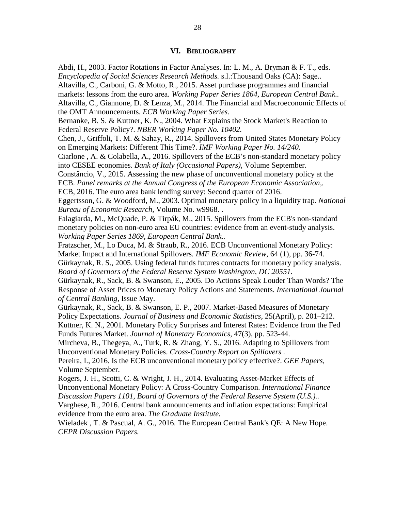#### <span id="page-27-0"></span>**VI. BIBLIOGRAPHY**

Abdi, H., 2003. Factor Rotations in Factor Analyses. In: L. M., A. Bryman & F. T., eds. *Encyclopedia of Social Sciences Research Methods.* s.l.:Thousand Oaks (CA): Sage.. Altavilla, C., Carboni, G. & Motto, R., 2015. Asset purchase programmes and financial markets: lessons from the euro area. *Working Paper Series 1864, European Central Bank..* Altavilla, C., Giannone, D. & Lenza, M., 2014. The Financial and Macroeconomic Effects of the OMT Announcements. *ECB Working Paper Series.*

Bernanke, B. S. & Kuttner, K. N., 2004. What Explains the Stock Market's Reaction to Federal Reserve Policy?. *NBER Working Paper No. 10402.*

Chen, J., Griffoli, T. M. & Sahay, R., 2014. Spillovers from United States Monetary Policy on Emerging Markets: Different This Time?. *IMF Working Paper No. 14/240.*

Ciarlone , A. & Colabella, A., 2016. Spillovers of the ECB's non-standard monetary policy into CESEE economies. *Bank of Italy (Occasional Papers),* Volume September.

Constâncio, V., 2015. Assessing the new phase of unconventional monetary policy at the ECB. *Panel remarks at the Annual Congress of the European Economic Association,.* ECB, 2016. The euro area bank lending survey: Second quarter of 2016.

Eggertsson, G. & Woodford, M., 2003. Optimal monetary policy in a liquidity trap. *National Bureau of Economic Research,* Volume No. w9968. .

Falagiarda, M., McQuade, P. & Tirpák, M., 2015. Spillovers from the ECB's non-standard monetary policies on non-euro area EU countries: evidence from an event-study analysis. *Working Paper Series 1869, European Central Bank..*

Fratzscher, M., Lo Duca, M. & Straub, R., 2016. ECB Unconventional Monetary Policy: Market Impact and International Spillovers. *IMF Economic Review,* 64 (1), pp. 36-74.

Gürkaynak, R. S., 2005. Using federal funds futures contracts for monetary policy analysis. *Board of Governors of the Federal Reserve System Washington, DC 20551.*

Gürkaynak, R., Sack, B. & Swanson, E., 2005. Do Actions Speak Louder Than Words? The Response of Asset Prices to Monetary Policy Actions and Statements. *International Journal of Central Banking,* Issue May.

Gürkaynak, R., Sack, B. & Swanson, E. P., 2007. Market-Based Measures of Monetary Policy Expectations. *Journal of Business and Economic Statistics,* 25(April), p. 201–212. Kuttner, K. N., 2001. Monetary Policy Surprises and Interest Rates: Evidence from the Fed

Funds Futures Market. *Journal of Monetary Economics,* 47(3), pp. 523-44.

Mircheva, B., Thegeya, A., Turk, R. & Zhang, Y. S., 2016. Adapting to Spillovers from Unconventional Monetary Policies. *Cross-Country Report on Spillovers .*

Pereira, I., 2016. Is the ECB unconventional monetary policy effective?. *GEE Papers,*  Volume September.

Rogers, J. H., Scotti, C. & Wright, J. H., 2014. Evaluating Asset-Market Effects of Unconventional Monetary Policy: A Cross-Country Comparison. *International Finance Discussion Papers 1101, Board of Governors of the Federal Reserve System (U.S.)..*

Varghese, R., 2016. Central bank announcements and inflation expectations: Empirical evidence from the euro area. *The Graduate Institute.*

Wieladek , T. & Pascual, A. G., 2016. The European Central Bank's QE: A New Hope. *CEPR Discussion Papers.*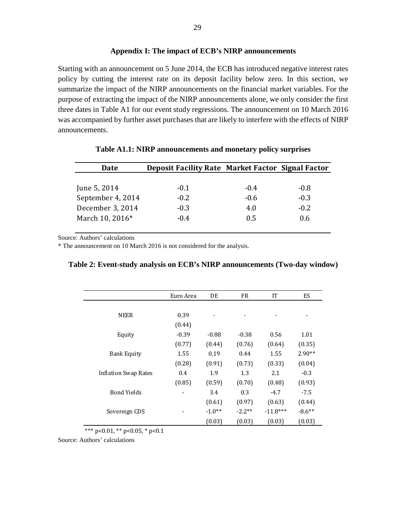Starting with an announcement on 5 June 2014, the ECB has introduced negative interest rates policy by cutting the interest rate on its deposit facility below zero. In this section, we summarize the impact of the NIRP announcements on the financial market variables. For the purpose of extracting the impact of the NIRP announcements alone, we only consider the first three dates in Table A1 for our event study regressions. The announcement on 10 March 2016 was accompanied by further asset purchases that are likely to interfere with the effects of NIRP announcements.

| <b>Date</b>       | <b>Deposit Facility Rate Market Factor Signal Factor</b> |        |        |
|-------------------|----------------------------------------------------------|--------|--------|
|                   |                                                          |        |        |
| June 5, 2014      | $-0.1$                                                   | $-0.4$ | $-0.8$ |
| September 4, 2014 | $-0.2$                                                   | $-0.6$ | $-0.3$ |
| December 3, 2014  | $-0.3$                                                   | 4.0    | $-0.2$ |
| March 10, 2016*   | $-0.4$                                                   | 0.5    | 0.6    |

**Table A1.1: NIRP announcements and monetary policy surprises** 

Source: Authors' calculations

\* The announcement on 10 March 2016 is not considered for the analysis.

|                             | Euro Area | DE                       | <b>FR</b> | IT         | <b>ES</b>                |
|-----------------------------|-----------|--------------------------|-----------|------------|--------------------------|
|                             |           |                          |           |            |                          |
| <b>NEER</b>                 | 0.39      | $\overline{\phantom{0}}$ |           |            | $\overline{\phantom{a}}$ |
|                             | (0.44)    |                          |           |            |                          |
| Equity                      | $-0.39$   | $-0.88$                  | $-0.38$   | 0.56       | 1.01                     |
|                             | (0.77)    | (0.44)                   | (0.76)    | (0.64)     | (0.35)                   |
| <b>Bank Equity</b>          | 1.55      | 0.19                     | 0.44      | 1.55       | $2.90**$                 |
|                             | (0.28)    | (0.91)                   | (0.73)    | (0.33)     | (0.04)                   |
| <b>Inflation Swap Rates</b> | 0.4       | 1.9                      | 1.3       | 2.1        | $-0.3$                   |
|                             | (0.85)    | (0.59)                   | (0.70)    | (0.48)     | (0.93)                   |
| <b>Bond Yields</b>          |           | 3.4                      | 0.3       | $-4.7$     | $-7.5$                   |
|                             |           | (0.61)                   | (0.97)    | (0.63)     | (0.44)                   |
| Sovereign CDS               |           | $-1.0**$                 | $-2.2**$  | $-11.8***$ | $-8.6***$                |
|                             |           | (0.03)                   | (0.03)    | (0.03)     | (0.03)                   |

| Table 2: Event-study analysis on ECB's NIRP announcements (Two-day window) |  |  |  |  |  |
|----------------------------------------------------------------------------|--|--|--|--|--|
|----------------------------------------------------------------------------|--|--|--|--|--|

\*\*\* p<0.01, \*\* p<0.05, \* p<0.1

Source: Authors' calculations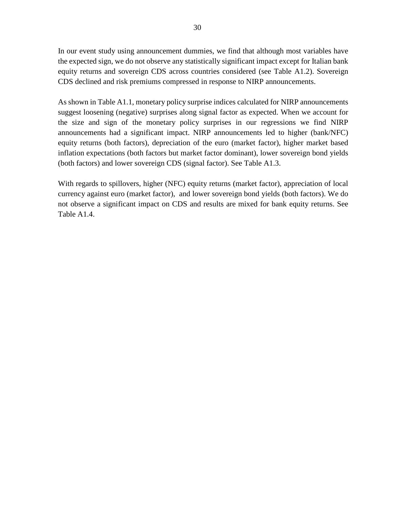In our event study using announcement dummies, we find that although most variables have the expected sign, we do not observe any statistically significant impact except for Italian bank equity returns and sovereign CDS across countries considered (see Table A1.2). Sovereign CDS declined and risk premiums compressed in response to NIRP announcements.

As shown in Table A1.1, monetary policy surprise indices calculated for NIRP announcements suggest loosening (negative) surprises along signal factor as expected. When we account for the size and sign of the monetary policy surprises in our regressions we find NIRP announcements had a significant impact. NIRP announcements led to higher (bank/NFC) equity returns (both factors), depreciation of the euro (market factor), higher market based inflation expectations (both factors but market factor dominant), lower sovereign bond yields (both factors) and lower sovereign CDS (signal factor). See Table A1.3.

With regards to spillovers, higher (NFC) equity returns (market factor), appreciation of local currency against euro (market factor), and lower sovereign bond yields (both factors). We do not observe a significant impact on CDS and results are mixed for bank equity returns. See Table A1.4.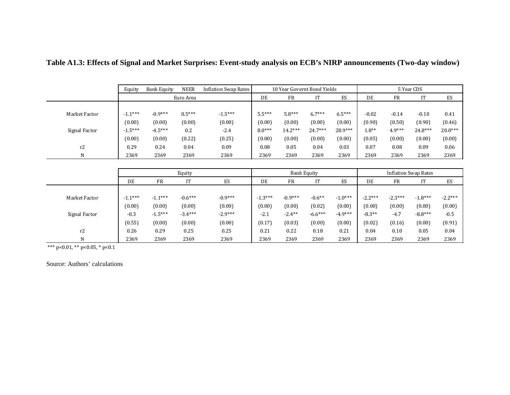|                | Equity    | <b>Bank Equity</b> | <b>NEER</b> | Inflation Swap Rates | 10 Year Governt Bond Yields |           | 5 Year CDS |          |         |          |           |           |
|----------------|-----------|--------------------|-------------|----------------------|-----------------------------|-----------|------------|----------|---------|----------|-----------|-----------|
|                |           |                    | Euro Area   |                      | DE                          | <b>FR</b> | IT         | ES       | DE      | FR       |           | ES        |
|                |           |                    |             |                      |                             |           |            |          |         |          |           |           |
| Market Factor  | $-1.1***$ | $-0.9***$          | $0.5***$    | $-1.5***$            | $5.5***$                    | $5.8***$  | $6.7***$   | $6.5***$ | $-0.02$ | $-0.14$  | $-0.10$   | 0.41      |
|                | (0.00)    | (0.00)             | (0.00)      | (0.00)               | (0.00)                      | (0.00)    | (0.00)     | (0.00)   | (0.90)  | (0.50)   | (0.90)    | (0.46)    |
| Signal Factor  | $-1.5***$ | $-4.5***$          | 0.2         | $-2.4$               | $8.0***$                    | $14.2***$ | $24.7***$  | 28.9***  | $1.8**$ | $4.9***$ | $24.8***$ | $20.0***$ |
|                | (0.00)    | (0.00)             | (0.22)      | (0.25)               | (0.00)                      | (0.00)    | (0.00)     | (0.00)   | (0.05)  | (0.00)   | (0.00)    | (0.00)    |
| r <sub>2</sub> | 0.29      | 0.24               | 0.04        | 0.09                 | 0.08                        | 0.05      | 0.04       | 0.03     | 0.07    | 0.08     | 0.09      | 0.06      |
| N              | 2369      | 2369               | 2369        | 2369                 | 2369                        | 2369      | 2369       | 2369     | 2369    | 2369     | 2369      | 2369      |

**Table A1.3: Effects of Signal and Market Surprises: Event-study analysis on ECB's NIRP announcements (Two-day window)**

|               |           |           | Equity    |           |           |           | <b>Bank Equity</b> |           |           |           | <b>Inflation Swap Rates</b> |           |
|---------------|-----------|-----------|-----------|-----------|-----------|-----------|--------------------|-----------|-----------|-----------|-----------------------------|-----------|
|               | DE        | FR        | IТ        | ES        | DE        | FR        | IT                 | ES        | DE        | FR        | IT                          | ES        |
|               |           |           |           |           |           |           |                    |           |           |           |                             |           |
| Market Factor | $-1.1***$ | $-1.1***$ | $-0.6***$ | $-0.9***$ | $-1.3***$ | $-0.9***$ | $-0.6**$           | $-1.0***$ | $-2.2***$ | $-2.3***$ | $-1.8***$                   | $-2.2***$ |
|               | (0.00)    | (0.00)    | (0.00)    | (0.00)    | (0.00)    | (0.00)    | (0.02)             | (0.00)    | (0.00)    | (0.00)    | (0.00)                      | (0.00)    |
| Signal Factor | $-0.3$    | $-1.5***$ | $-3.4***$ | $-2.9***$ | $-2.1$    | $-2.4***$ | $-6.6***$          | $-4.9***$ | $-8.3**$  | $-4.7$    | $-8.8***$                   | $-0.5$    |
|               | (0.55)    | (0.00)    | (0.00)    | (0.00)    | (0.17)    | (0.03)    | (0.00)             | (0.00)    | (0.02)    | (0.16)    | (0.00)                      | (0.91)    |
| r2            | 0.26      | 0.29      | 0.25      | 0.25      | 0.21      | 0.22      | 0.18               | 0.21      | 0.04      | 0.10      | 0.05                        | 0.04      |
| N             | 2369      | 2369      | 2369      | 2369      | 2369      | 2369      | 2369               | 2369      | 2369      | 2369      | 2369                        | 2369      |
|               |           |           |           |           |           |           |                    |           |           |           |                             |           |

\*\*\* p<0.01, \*\* p<0.05, \* p<0.1

Source: Authors' calculations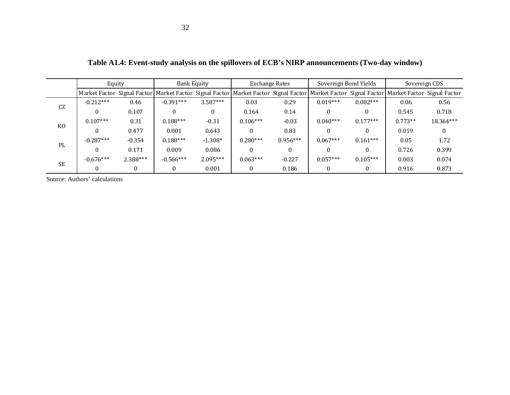|                | Equity      |          | <b>Bank Equity</b> |            | <b>Exchange Rates</b>                                                                                                                                                   |            | Sovereign Bond Yields |            | Sovereign CDS |           |
|----------------|-------------|----------|--------------------|------------|-------------------------------------------------------------------------------------------------------------------------------------------------------------------------|------------|-----------------------|------------|---------------|-----------|
|                |             |          |                    |            | Market Factor Signal Factor Market Factor Signal Factor Market Factor Signal Factor Market Factor Signal Factor Market Factor Signal Factor Signal Factor Signal Factor |            |                       |            |               |           |
| CZ             | $-0.212***$ | 0.46     | $-0.391***$        | $3.587***$ | 0.03                                                                                                                                                                    | 0.29       | $0.019***$            | $0.082***$ | 0.06          | 0.56      |
|                |             | 0.107    |                    |            | 0.164                                                                                                                                                                   | 0.14       | $\Omega$              |            | 0.545         | 0.718     |
| R <sub>0</sub> | $0.107***$  | 0.31     | $0.188***$         | $-0.31$    | $0.106***$                                                                                                                                                              | $-0.03$    | $0.040***$            | $0.177***$ | $0.773**$     | 18.364*** |
|                |             | 0.477    | 0.001              | 0.643      |                                                                                                                                                                         | 0.83       | $\Omega$              |            | 0.019         |           |
|                | $-0.287***$ | $-0.354$ | $0.188***$         | $-1.308*$  | $0.280***$                                                                                                                                                              | $0.956***$ | $0.067***$            | $0.161***$ | 0.05          | 1.72      |
| PL             | $\Omega$    | 0.171    | 0.009              | 0.086      |                                                                                                                                                                         |            | $\Omega$              |            | 0.726         | 0.399     |
|                | $-0.676***$ | 2.388*** | $-0.566***$        | $2.095***$ | $0.063***$                                                                                                                                                              | $-0.227$   | $0.057***$            | $0.105***$ | 0.003         | 0.074     |
| <b>SE</b>      | $\Omega$    |          | $\Omega$           | 0.001      | $\Omega$                                                                                                                                                                | 0.186      | $\Omega$              |            | 0.916         | 0.873     |

**Table A1.4: Event-study analysis on the spillovers of ECB's NIRP announcements (Two-day window)**

Source: Authors' calculations